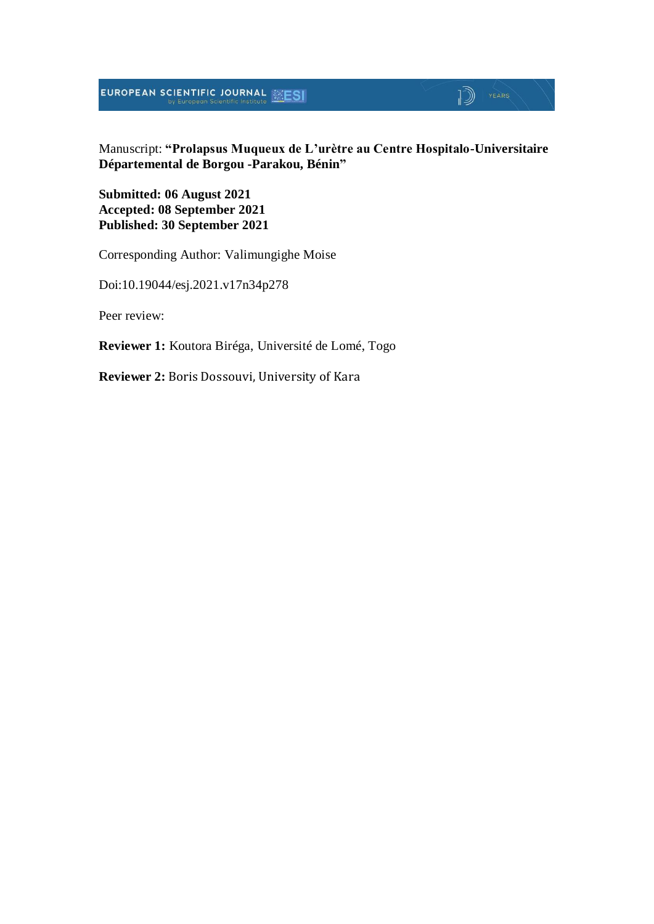**EUROPEAN SCIENTIFIC JOURNAL EXESI** 

 $\mathbb{D}$  YEARS

#### Manuscript: **"Prolapsus Muqueux de L'urètre au Centre Hospitalo-Universitaire Départemental de Borgou -Parakou, Bénin"**

**Submitted: 06 August 2021 Accepted: 08 September 2021 Published: 30 September 2021**

Corresponding Author: Valimungighe Moise

Doi:10.19044/esj.2021.v17n34p278

Peer review:

**Reviewer 1:** Koutora Biréga, Université de Lomé, Togo

**Reviewer 2:** Boris Dossouvi, University of Kara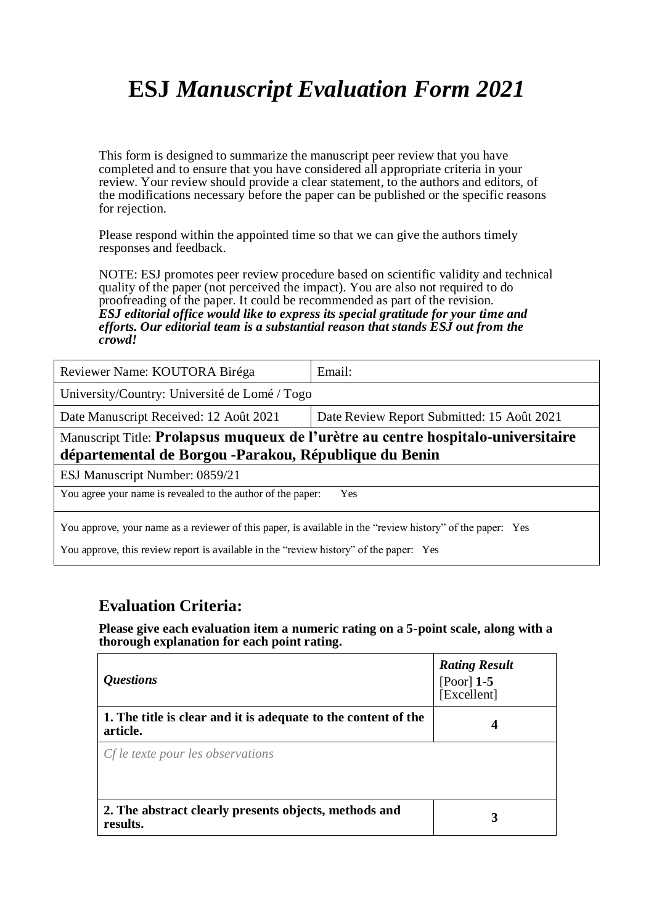# **ESJ** *Manuscript Evaluation Form 2021*

This form is designed to summarize the manuscript peer review that you have completed and to ensure that you have considered all appropriate criteria in your review. Your review should provide a clear statement, to the authors and editors, of the modifications necessary before the paper can be published or the specific reasons for rejection.

Please respond within the appointed time so that we can give the authors timely responses and feedback.

NOTE: ESJ promotes peer review procedure based on scientific validity and technical quality of the paper (not perceived the impact). You are also not required to do proofreading of the paper. It could be recommended as part of the revision. *ESJ editorial office would like to express its special gratitude for your time and efforts. Our editorial team is a substantial reason that stands ESJ out from the crowd!* 

| Reviewer Name: KOUTORA Biréga                                                                                                               | Email:                                     |  |  |
|---------------------------------------------------------------------------------------------------------------------------------------------|--------------------------------------------|--|--|
| University/Country: Université de Lomé / Togo                                                                                               |                                            |  |  |
| Date Manuscript Received: 12 Août 2021                                                                                                      | Date Review Report Submitted: 15 Août 2021 |  |  |
| Manuscript Title: Prolapsus muqueux de l'urètre au centre hospitalo-universitaire<br>départemental de Borgou - Parakou, République du Benin |                                            |  |  |
| ESJ Manuscript Number: 0859/21                                                                                                              |                                            |  |  |
| You agree your name is revealed to the author of the paper:<br>Yes                                                                          |                                            |  |  |
| You approve, your name as a reviewer of this paper, is available in the "review history" of the paper: Yes                                  |                                            |  |  |

You approve, this review report is available in the "review history" of the paper: Yes

### **Evaluation Criteria:**

**Please give each evaluation item a numeric rating on a 5-point scale, along with a thorough explanation for each point rating.**

| <i><b>Questions</b></i>                                                    | <b>Rating Result</b><br>[Poor] $1-5$<br>[Excellent] |
|----------------------------------------------------------------------------|-----------------------------------------------------|
| 1. The title is clear and it is adequate to the content of the<br>article. | 4                                                   |
| Cf le texte pour les observations                                          |                                                     |
| 2. The abstract clearly presents objects, methods and<br>results.          | 3                                                   |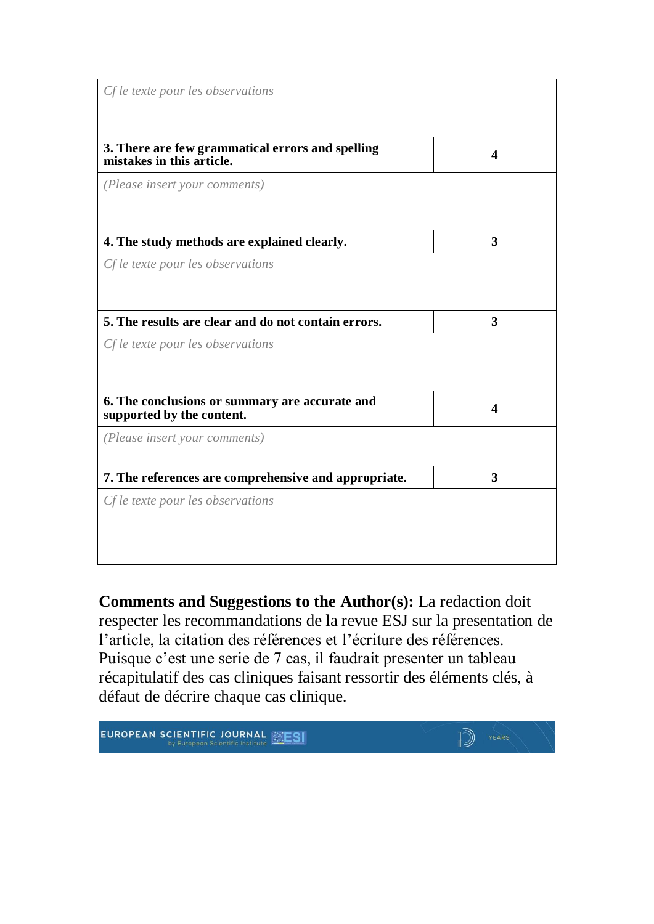| Cf le texte pour les observations                                             |   |
|-------------------------------------------------------------------------------|---|
| 3. There are few grammatical errors and spelling<br>mistakes in this article. | 4 |
| (Please insert your comments)                                                 |   |
| 4. The study methods are explained clearly.                                   | 3 |
| Cf le texte pour les observations                                             |   |
| 5. The results are clear and do not contain errors.                           | 3 |
| Cf le texte pour les observations                                             |   |
| 6. The conclusions or summary are accurate and<br>supported by the content.   | 4 |
| (Please insert your comments)                                                 |   |
| 7. The references are comprehensive and appropriate.                          | 3 |
| Cf le texte pour les observations                                             |   |

**Comments and Suggestions to the Author(s):** La redaction doit respecter les recommandations de la revue ESJ sur la presentation de l'article, la citation des références et l'écriture des références. Puisque c'est une serie de 7 cas, il faudrait presenter un tableau récapitulatif des cas cliniques faisant ressortir des éléments clés, à défaut de décrire chaque cas clinique.

EUROPEAN SCIENTIFIC JOURNAL **ESI**  $\sqrt{2}$   $YEARS$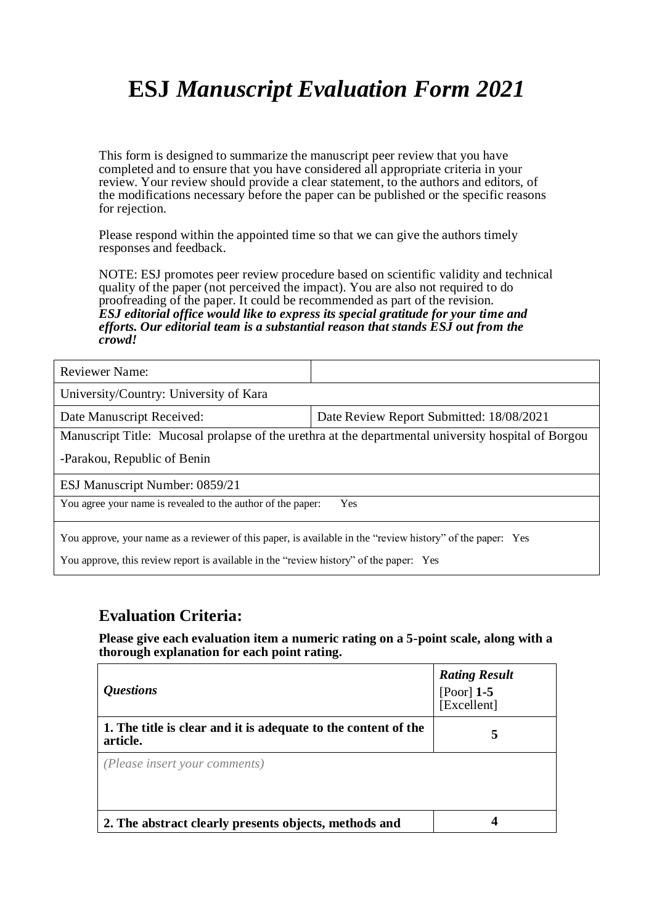# **ESJ** *Manuscript Evaluation Form 2021*

This form is designed to summarize the manuscript peer review that you have completed and to ensure that you have considered all appropriate criteria in your review. Your review should provide a clear statement, to the authors and editors, of the modifications necessary before the paper can be published or the specific reasons for rejection.

Please respond within the appointed time so that we can give the authors timely responses and feedback.

NOTE: ESJ promotes peer review procedure based on scientific validity and technical quality of the paper (not perceived the impact). You are also not required to do proofreading of the paper. It could be recommended as part of the revision. *ESJ editorial office would like to express its special gratitude for your time and efforts. Our editorial team is a substantial reason that stands ESJ out from the crowd!* 

| <b>Reviewer Name:</b>                                                                                                                                                                                |                                          |  |
|------------------------------------------------------------------------------------------------------------------------------------------------------------------------------------------------------|------------------------------------------|--|
| University/Country: University of Kara                                                                                                                                                               |                                          |  |
| Date Manuscript Received:                                                                                                                                                                            | Date Review Report Submitted: 18/08/2021 |  |
| Manuscript Title: Mucosal prolapse of the urethra at the departmental university hospital of Borgou                                                                                                  |                                          |  |
| -Parakou, Republic of Benin                                                                                                                                                                          |                                          |  |
| ESJ Manuscript Number: 0859/21                                                                                                                                                                       |                                          |  |
| You agree your name is revealed to the author of the paper:<br>Yes                                                                                                                                   |                                          |  |
| You approve, your name as a reviewer of this paper, is available in the "review history" of the paper: Yes<br>You approve, this review report is available in the "review history" of the paper: Yes |                                          |  |

### **Evaluation Criteria:**

**Please give each evaluation item a numeric rating on a 5-point scale, along with a thorough explanation for each point rating.**

| <i><b>Ouestions</b></i>                                                    | <b>Rating Result</b><br>[Poor] $1-5$<br>[Excellent] |
|----------------------------------------------------------------------------|-----------------------------------------------------|
| 1. The title is clear and it is adequate to the content of the<br>article. | 5                                                   |
| (Please insert your comments)                                              |                                                     |
| 2. The abstract clearly presents objects, methods and                      | 4                                                   |